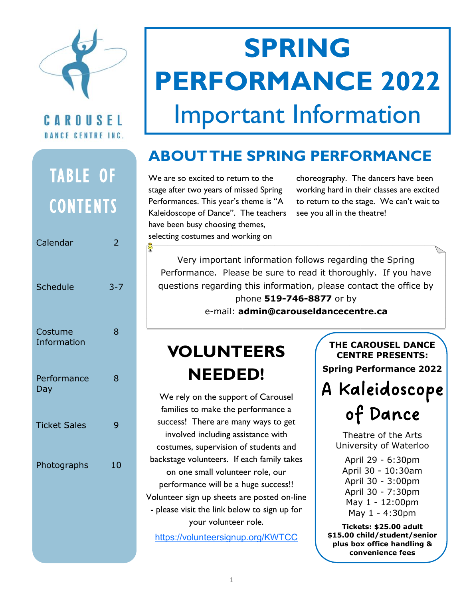

#### CAROUSEL DANCE CENTRE INC.

## TABLE OF **CONTENTS**

| Calendar                      | ╯       |
|-------------------------------|---------|
| Schedule                      | $3 - 7$ |
| Costume<br><b>Information</b> | 8       |
| Performance<br>Day            | 8       |
| <b>Ticket Sales</b>           | 9       |
| Photographs                   | 10      |

# **SPRING PERFORMANCE 2022**  Important Information

### **ABOUT THE SPRING PERFORMANCE**

We are so excited to return to the stage after two years of missed Spring Performances. This year's theme is "A Kaleidoscope of Dance". The teachers have been busy choosing themes, selecting costumes and working on

choreography. The dancers have been working hard in their classes are excited to return to the stage. We can't wait to see you all in the theatre!

Very important information follows regarding the Spring Performance. Please be sure to read it thoroughly. If you have questions regarding this information, please contact the office by

phone **519-746-8877** or by e-mail: **admin@carouseldancecentre.ca**

### **VOLUNTEERS NEEDED!**

We rely on the support of Carousel families to make the performance a success! There are many ways to get involved including assistance with costumes, supervision of students and backstage volunteers. If each family takes on one small volunteer role, our performance will be a huge success!! Volunteer sign up sheets are posted on-line - please visit the link below to sign up for your volunteer role.

<https://volunteersignup.org/KWTCC>

**THE CAROUSEL DANCE CENTRE PRESENTS: Spring Performance 2022**

A Kaleidoscope s<br>**Saleidoscope<br>of Dance**<br>Theatre of the Arts

Theatre of the Arts University of Waterloo

- April 29 6:30pm
- April 30 10:30am
- April 30 3:00pm
- April 30 7:30pm
- May 1 12:00pm
- May 1 4:30pm

**Tickets: \$25.00 adult \$15.00 child/student/senior plus box office handling & convenience fees**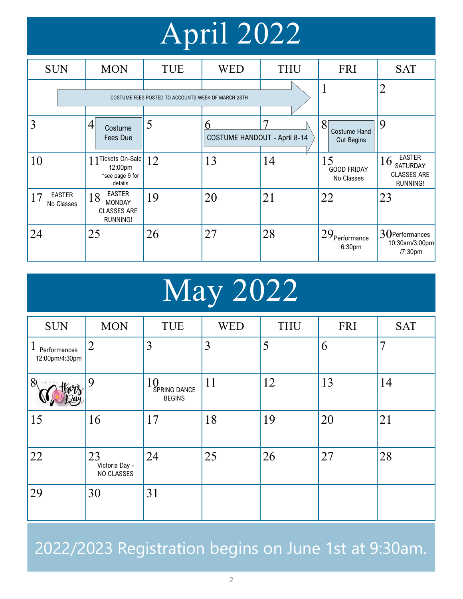# April 2022

| <b>SUN</b>                        | <b>MON</b>                                                                    | TUE | <b>WED</b>                               | <b>THU</b> | <b>FRI</b>                             | <b>SAT</b>                                                        |
|-----------------------------------|-------------------------------------------------------------------------------|-----|------------------------------------------|------------|----------------------------------------|-------------------------------------------------------------------|
|                                   | COSTUME FEES POSTED TO ACCOUNTS WEEK OF MARCH 28TH                            |     |                                          |            |                                        | $\overline{2}$                                                    |
| 3                                 | 4<br>Costume<br>Fees Due                                                      | 5   | n<br><b>COSTUME HANDOUT - April 8-14</b> |            | 8<br><b>Costume Hand</b><br>Out Begins | 9                                                                 |
| 10                                | 1 1 Tickets On-Sale<br>12:00pm<br>*see page 9 for<br>details                  | 12  | 13                                       | 14         | 15<br><b>GOOD FRIDAY</b><br>No Classes | <b>EASTER</b><br>16<br>SATURDAY<br><b>CLASSES ARE</b><br>RUNNING! |
| <b>EASTER</b><br>17<br>No Classes | <b>EASTER</b><br>18<br><b>MONDAY</b><br><b>CLASSES ARE</b><br><b>RUNNING!</b> | 19  | 20                                       | 21         | 22                                     | 23                                                                |
| 24                                | 25                                                                            | 26  | 27                                       | 28         | 129 <sub>Performance</sub><br>6:30pm   | 30Performances<br>10:30am/3:00pm<br>/7:30pm                       |

# May 2022

| <b>SUN</b>                                     | <b>MON</b>                         | <b>TUE</b>                          | <b>WED</b>     | <b>THU</b> | <b>FRI</b> | <b>SAT</b> |
|------------------------------------------------|------------------------------------|-------------------------------------|----------------|------------|------------|------------|
| $\mathbf{l}$<br>Performances<br>12:00pm/4:30pm | $\overline{2}$                     | 3                                   | $\overline{3}$ | 5          | 6          | 7          |
| $81$ <b>Exercise</b>                           | 9                                  | 10<br>SPRING DANCE<br><b>BEGINS</b> | 11             | 12         | 13         | 14         |
| 15                                             | 16                                 | 17                                  | 18             | 19         | 20         | 21         |
| 22                                             | 23<br>Victoria Day -<br>NO CLASSES | 24                                  | 25             | 26         | 27         | 28         |
| 29                                             | 30                                 | 31                                  |                |            |            |            |

2022/2023 Registration begins on June 1st at 9:30am.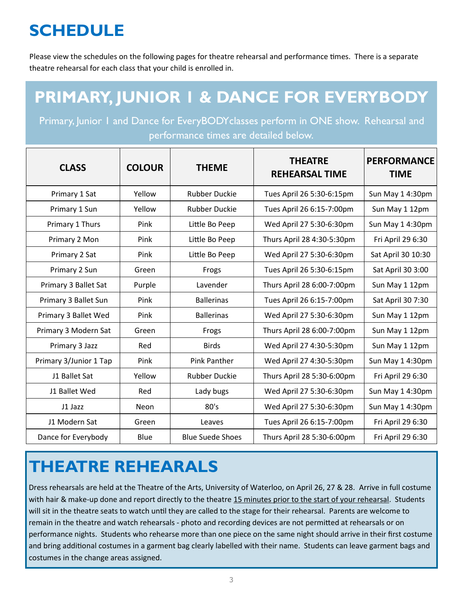### **SCHEDULE**

Please view the schedules on the following pages for theatre rehearsal and performance times. There is a separate theatre rehearsal for each class that your child is enrolled in.

### **PRIMARY, JUNIOR 1 & DANCE FOR EVERYBODY**

Primary, Junior 1 and Dance for EveryBODY classes perform in ONE show. Rehearsal and performance times are detailed below.

| <b>CLASS</b>           | <b>COLOUR</b> | <b>THEME</b>            | <b>THEATRE</b><br><b>REHEARSAL TIME</b> | <b>PERFORMANCE</b><br><b>TIME</b> |
|------------------------|---------------|-------------------------|-----------------------------------------|-----------------------------------|
| Primary 1 Sat          | Yellow        | <b>Rubber Duckie</b>    | Tues April 26 5:30-6:15pm               | Sun May 14:30pm                   |
| Primary 1 Sun          | Yellow        | <b>Rubber Duckie</b>    | Tues April 26 6:15-7:00pm               | Sun May 1 12pm                    |
| Primary 1 Thurs        | Pink          | Little Bo Peep          | Wed April 27 5:30-6:30pm                | Sun May 14:30pm                   |
| Primary 2 Mon          | Pink          | Little Bo Peep          | Thurs April 28 4:30-5:30pm              | Fri April 29 6:30                 |
| Primary 2 Sat          | Pink          | Little Bo Peep          | Wed April 27 5:30-6:30pm                | Sat April 30 10:30                |
| Primary 2 Sun          | Green         | Frogs                   | Tues April 26 5:30-6:15pm               | Sat April 30 3:00                 |
| Primary 3 Ballet Sat   | Purple        | Lavender                | Thurs April 28 6:00-7:00pm              | Sun May 1 12pm                    |
| Primary 3 Ballet Sun   | Pink          | <b>Ballerinas</b>       | Tues April 26 6:15-7:00pm               | Sat April 30 7:30                 |
| Primary 3 Ballet Wed   | Pink          | <b>Ballerinas</b>       | Wed April 27 5:30-6:30pm                | Sun May 1 12pm                    |
| Primary 3 Modern Sat   | Green         | Frogs                   | Thurs April 28 6:00-7:00pm              | Sun May 1 12pm                    |
| Primary 3 Jazz         | Red           | <b>Birds</b>            | Wed April 27 4:30-5:30pm                | Sun May 1 12pm                    |
| Primary 3/Junior 1 Tap | Pink          | <b>Pink Panther</b>     | Wed April 27 4:30-5:30pm                | Sun May 14:30pm                   |
| J1 Ballet Sat          | Yellow        | <b>Rubber Duckie</b>    | Thurs April 28 5:30-6:00pm              | Fri April 29 6:30                 |
| J1 Ballet Wed          | Red           | Lady bugs               | Wed April 27 5:30-6:30pm                | Sun May 14:30pm                   |
| J1 Jazz                | <b>Neon</b>   | 80's                    | Wed April 27 5:30-6:30pm                | Sun May 14:30pm                   |
| J1 Modern Sat          | Green         | Leaves                  | Tues April 26 6:15-7:00pm               | Fri April 29 6:30                 |
| Dance for Everybody    | Blue          | <b>Blue Suede Shoes</b> | Thurs April 28 5:30-6:00pm              | Fri April 29 6:30                 |

### **THEATRE REHEARALS**

Dress rehearsals are held at the Theatre of the Arts, University of Waterloo, on April 26, 27 & 28. Arrive in full costume with hair & make-up done and report directly to the theatre 15 minutes prior to the start of your rehearsal. Students will sit in the theatre seats to watch until they are called to the stage for their rehearsal. Parents are welcome to remain in the theatre and watch rehearsals - photo and recording devices are not permitted at rehearsals or on performance nights. Students who rehearse more than one piece on the same night should arrive in their first costume and bring additional costumes in a garment bag clearly labelled with their name. Students can leave garment bags and costumes in the change areas assigned.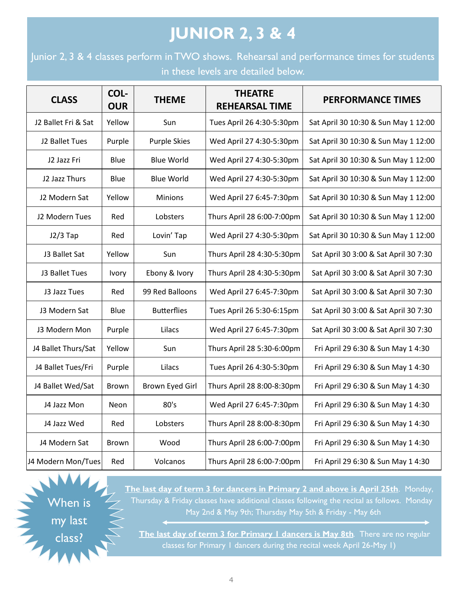### **JUNIOR 2, 3 & 4**

Junior 2, 3 & 4 classes perform in TWO shows. Rehearsal and performance times for students in these levels are detailed below.

| <b>CLASS</b>        | COL-<br><b>OUR</b> | <b>THEME</b>        | <b>THEATRE</b><br><b>REHEARSAL TIME</b> | <b>PERFORMANCE TIMES</b>              |
|---------------------|--------------------|---------------------|-----------------------------------------|---------------------------------------|
| J2 Ballet Fri & Sat | Yellow             | Sun                 | Tues April 26 4:30-5:30pm               | Sat April 30 10:30 & Sun May 1 12:00  |
| J2 Ballet Tues      | Purple             | <b>Purple Skies</b> | Wed April 27 4:30-5:30pm                | Sat April 30 10:30 & Sun May 1 12:00  |
| J2 Jazz Fri         | Blue               | <b>Blue World</b>   | Wed April 27 4:30-5:30pm                | Sat April 30 10:30 & Sun May 1 12:00  |
| J2 Jazz Thurs       | Blue               | <b>Blue World</b>   | Wed April 27 4:30-5:30pm                | Sat April 30 10:30 & Sun May 1 12:00  |
| J2 Modern Sat       | Yellow             | <b>Minions</b>      | Wed April 27 6:45-7:30pm                | Sat April 30 10:30 & Sun May 1 12:00  |
| J2 Modern Tues      | Red                | Lobsters            | Thurs April 28 6:00-7:00pm              | Sat April 30 10:30 & Sun May 1 12:00  |
| $J2/3$ Tap          | Red                | Lovin' Tap          | Wed April 27 4:30-5:30pm                | Sat April 30 10:30 & Sun May 1 12:00  |
| J3 Ballet Sat       | Yellow             | Sun                 | Thurs April 28 4:30-5:30pm              | Sat April 30 3:00 & Sat April 30 7:30 |
| J3 Ballet Tues      | Ivory              | Ebony & Ivory       | Thurs April 28 4:30-5:30pm              | Sat April 30 3:00 & Sat April 30 7:30 |
| J3 Jazz Tues        | Red                | 99 Red Balloons     | Wed April 27 6:45-7:30pm                | Sat April 30 3:00 & Sat April 30 7:30 |
| J3 Modern Sat       | Blue               | <b>Butterflies</b>  | Tues April 26 5:30-6:15pm               | Sat April 30 3:00 & Sat April 30 7:30 |
| J3 Modern Mon       | Purple             | Lilacs              | Wed April 27 6:45-7:30pm                | Sat April 30 3:00 & Sat April 30 7:30 |
| J4 Ballet Thurs/Sat | Yellow             | Sun                 | Thurs April 28 5:30-6:00pm              | Fri April 29 6:30 & Sun May 1 4:30    |
| J4 Ballet Tues/Fri  | Purple             | Lilacs              | Tues April 26 4:30-5:30pm               | Fri April 29 6:30 & Sun May 1 4:30    |
| J4 Ballet Wed/Sat   | <b>Brown</b>       | Brown Eyed Girl     | Thurs April 28 8:00-8:30pm              | Fri April 29 6:30 & Sun May 1 4:30    |
| J4 Jazz Mon         | <b>Neon</b>        | 80's                | Wed April 27 6:45-7:30pm                | Fri April 29 6:30 & Sun May 1 4:30    |
| J4 Jazz Wed         | Red                | Lobsters            | Thurs April 28 8:00-8:30pm              | Fri April 29 6:30 & Sun May 1 4:30    |
| J4 Modern Sat       | <b>Brown</b>       | Wood                | Thurs April 28 6:00-7:00pm              | Fri April 29 6:30 & Sun May 1 4:30    |
| J4 Modern Mon/Tues  | Red                | Volcanos            | Thurs April 28 6:00-7:00pm              | Fri April 29 6:30 & Sun May 1 4:30    |

When is my last class?

**The last day of term 3 for dancers in Primary 2 and above is April 25th**. Monday, Thursday & Friday classes have additional classes following the recital as follows. Monday May 2nd & May 9th; Thursday May 5th & Friday - May 6th

**The last day of term 3 for Primary 1 dancers is May 8th.** There are no regular classes for Primary 1 dancers during the recital week April 26-May 1)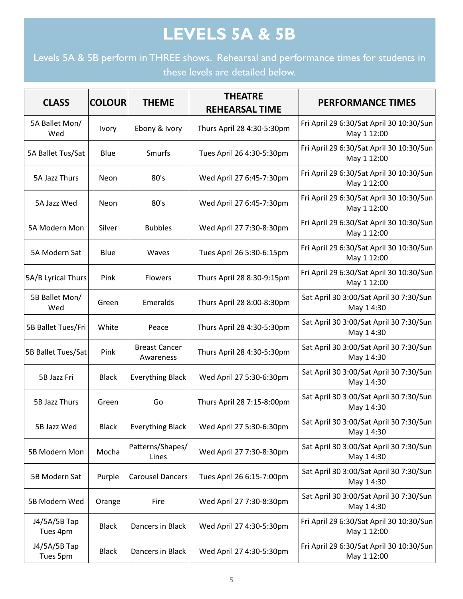### **LEVELS 5A & 5B**

Levels 5A & 5B perform in THREE shows. Rehearsal and performance times for students in these levels are detailed below.

| <b>CLASS</b>               | <b>COLOUR</b> | <b>THEME</b>                      | <b>THEATRE</b><br><b>REHEARSAL TIME</b> | <b>PERFORMANCE TIMES</b>                                |
|----------------------------|---------------|-----------------------------------|-----------------------------------------|---------------------------------------------------------|
| 5A Ballet Mon/<br>Wed      | <b>Ivory</b>  | Ebony & Ivory                     | Thurs April 28 4:30-5:30pm              | Fri April 29 6:30/Sat April 30 10:30/Sun<br>May 1 12:00 |
| 5A Ballet Tus/Sat          | <b>Blue</b>   | Smurfs                            | Tues April 26 4:30-5:30pm               | Fri April 29 6:30/Sat April 30 10:30/Sun<br>May 1 12:00 |
| 5A Jazz Thurs              | Neon          | 80's                              | Wed April 27 6:45-7:30pm                | Fri April 29 6:30/Sat April 30 10:30/Sun<br>May 1 12:00 |
| 5A Jazz Wed                | Neon          | 80's                              | Wed April 27 6:45-7:30pm                | Fri April 29 6:30/Sat April 30 10:30/Sun<br>May 1 12:00 |
| 5A Modern Mon              | Silver        | <b>Bubbles</b>                    | Wed April 27 7:30-8:30pm                | Fri April 29 6:30/Sat April 30 10:30/Sun<br>May 1 12:00 |
| 5A Modern Sat              | <b>Blue</b>   | Waves                             | Tues April 26 5:30-6:15pm               | Fri April 29 6:30/Sat April 30 10:30/Sun<br>May 1 12:00 |
| 5A/B Lyrical Thurs         | Pink          | Flowers                           | Thurs April 28 8:30-9:15pm              | Fri April 29 6:30/Sat April 30 10:30/Sun<br>May 1 12:00 |
| 5B Ballet Mon/<br>Wed      | Green         | Emeralds                          | Thurs April 28 8:00-8:30pm              | Sat April 30 3:00/Sat April 30 7:30/Sun<br>May 14:30    |
| 5B Ballet Tues/Fri         | White         | Peace                             | Thurs April 28 4:30-5:30pm              | Sat April 30 3:00/Sat April 30 7:30/Sun<br>May 14:30    |
| 5B Ballet Tues/Sat         | Pink          | <b>Breast Cancer</b><br>Awareness | Thurs April 28 4:30-5:30pm              | Sat April 30 3:00/Sat April 30 7:30/Sun<br>May 14:30    |
| 5B Jazz Fri                | <b>Black</b>  | <b>Everything Black</b>           | Wed April 27 5:30-6:30pm                | Sat April 30 3:00/Sat April 30 7:30/Sun<br>May 14:30    |
| 5B Jazz Thurs              | Green         | Go                                | Thurs April 28 7:15-8:00pm              | Sat April 30 3:00/Sat April 30 7:30/Sun<br>May 14:30    |
| 5B Jazz Wed                | <b>Black</b>  | Everything Black                  | Wed April 27 5:30-6:30pm                | Sat April 30 3:00/Sat April 30 7:30/Sun<br>May 14:30    |
| 5B Modern Mon              | Mocha         | Patterns/Shapes/<br>Lines         | Wed April 27 7:30-8:30pm                | Sat April 30 3:00/Sat April 30 7:30/Sun<br>May 14:30    |
| 5B Modern Sat              | Purple        | <b>Carousel Dancers</b>           | Tues April 26 6:15-7:00pm               | Sat April 30 3:00/Sat April 30 7:30/Sun<br>May 14:30    |
| 5B Modern Wed              | Orange        | Fire                              | Wed April 27 7:30-8:30pm                | Sat April 30 3:00/Sat April 30 7:30/Sun<br>May 14:30    |
| J4/5A/5B Tap<br>Tues 4pm   | <b>Black</b>  | Dancers in Black                  | Wed April 27 4:30-5:30pm                | Fri April 29 6:30/Sat April 30 10:30/Sun<br>May 1 12:00 |
| $J4/5A/5B$ Tap<br>Tues 5pm | <b>Black</b>  | Dancers in Black                  | Wed April 27 4:30-5:30pm                | Fri April 29 6:30/Sat April 30 10:30/Sun<br>May 1 12:00 |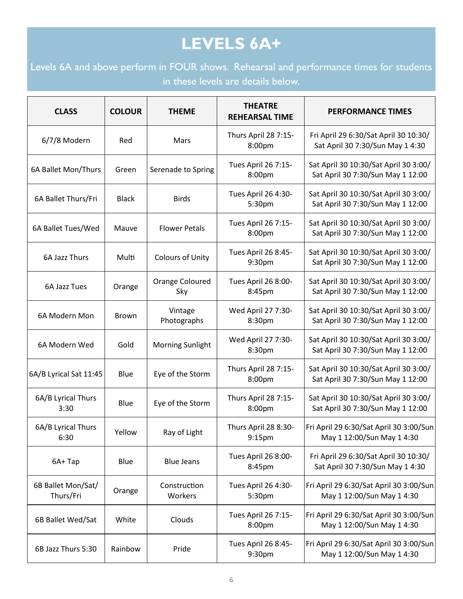### **LEVELS 6A+**

Levels 6A and above perform in FOUR shows. Rehearsal and performance times for students in these levels are details below.

| <b>CLASS</b>                    | <b>COLOUR</b> | <b>THEME</b>            | <b>THEATRE</b><br><b>REHEARSAL TIME</b> | <b>PERFORMANCE TIMES</b>                                                   |
|---------------------------------|---------------|-------------------------|-----------------------------------------|----------------------------------------------------------------------------|
| 6/7/8 Modern                    | Red           | Mars                    | Thurs April 28 7:15-<br>8:00pm          | Fri April 29 6:30/Sat April 30 10:30/<br>Sat April 30 7:30/Sun May 1 4:30  |
| 6A Ballet Mon/Thurs             | Green         | Serenade to Spring      | Tues April 26 7:15-<br>8:00pm           | Sat April 30 10:30/Sat April 30 3:00/<br>Sat April 30 7:30/Sun May 1 12:00 |
| 6A Ballet Thurs/Fri             | <b>Black</b>  | <b>Birds</b>            | Tues April 26 4:30-<br>5:30pm           | Sat April 30 10:30/Sat April 30 3:00/<br>Sat April 30 7:30/Sun May 1 12:00 |
| 6A Ballet Tues/Wed              | Mauve         | <b>Flower Petals</b>    | Tues April 26 7:15-<br>8:00pm           | Sat April 30 10:30/Sat April 30 3:00/<br>Sat April 30 7:30/Sun May 1 12:00 |
| 6A Jazz Thurs                   | Multi         | Colours of Unity        | Tues April 26 8:45-<br>9:30pm           | Sat April 30 10:30/Sat April 30 3:00/<br>Sat April 30 7:30/Sun May 1 12:00 |
| 6A Jazz Tues                    | Orange        | Orange Coloured<br>Sky  | Tues April 26 8:00-<br>8:45pm           | Sat April 30 10:30/Sat April 30 3:00/<br>Sat April 30 7:30/Sun May 1 12:00 |
| 6A Modern Mon                   | <b>Brown</b>  | Vintage<br>Photographs  | Wed April 27 7:30-<br>8:30pm            | Sat April 30 10:30/Sat April 30 3:00/<br>Sat April 30 7:30/Sun May 1 12:00 |
| 6A Modern Wed                   | Gold          | <b>Morning Sunlight</b> | Wed April 27 7:30-<br>8:30pm            | Sat April 30 10:30/Sat April 30 3:00/<br>Sat April 30 7:30/Sun May 1 12:00 |
| 6A/B Lyrical Sat 11:45          | Blue          | Eye of the Storm        | Thurs April 28 7:15-<br>8:00pm          | Sat April 30 10:30/Sat April 30 3:00/<br>Sat April 30 7:30/Sun May 1 12:00 |
| 6A/B Lyrical Thurs<br>3:30      | Blue          | Eye of the Storm        | Thurs April 28 7:15-<br>8:00pm          | Sat April 30 10:30/Sat April 30 3:00/<br>Sat April 30 7:30/Sun May 1 12:00 |
| 6A/B Lyrical Thurs<br>6:30      | Yellow        | Ray of Light            | Thurs April 28 8:30-<br>9:15pm          | Fri April 29 6:30/Sat April 30 3:00/Sun<br>May 1 12:00/Sun May 1 4:30      |
| 6A+Tap                          | Blue          | <b>Blue Jeans</b>       | Tues April 26 8:00-<br>8:45pm           | Fri April 29 6:30/Sat April 30 10:30/<br>Sat April 30 7:30/Sun May 1 4:30  |
| 6B Ballet Mon/Sat/<br>Thurs/Fri | Orange        | Construction<br>Workers | Tues April 26 4:30-<br>5:30pm           | Fri April 29 6:30/Sat April 30 3:00/Sun<br>May 1 12:00/Sun May 1 4:30      |
| 6B Ballet Wed/Sat               | White         | Clouds                  | Tues April 26 7:15-<br>8:00pm           | Fri April 29 6:30/Sat April 30 3:00/Sun<br>May 1 12:00/Sun May 1 4:30      |
| 6B Jazz Thurs 5:30              | Rainbow       | Pride                   | Tues April 26 8:45-<br>9:30pm           | Fri April 29 6:30/Sat April 30 3:00/Sun<br>May 1 12:00/Sun May 1 4:30      |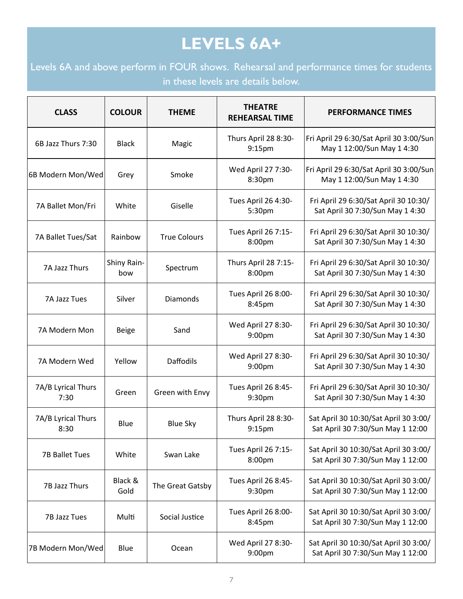#### **LEVELS 6A+**

Levels 6A and above perform in FOUR shows. Rehearsal and performance times for students in these levels are details below.

| <b>CLASS</b>               | <b>COLOUR</b>      | <b>THEME</b>        | <b>THEATRE</b><br><b>REHEARSAL TIME</b>    | <b>PERFORMANCE TIMES</b>                                                   |
|----------------------------|--------------------|---------------------|--------------------------------------------|----------------------------------------------------------------------------|
| 6B Jazz Thurs 7:30         | <b>Black</b>       | Magic               | Thurs April 28 8:30-<br>9:15pm             | Fri April 29 6:30/Sat April 30 3:00/Sun<br>May 1 12:00/Sun May 1 4:30      |
| 6B Modern Mon/Wed          | Grey               | Smoke               | Wed April 27 7:30-<br>8:30pm               | Fri April 29 6:30/Sat April 30 3:00/Sun<br>May 1 12:00/Sun May 1 4:30      |
| 7A Ballet Mon/Fri          | White              | Giselle             | Tues April 26 4:30-<br>5:30pm              | Fri April 29 6:30/Sat April 30 10:30/<br>Sat April 30 7:30/Sun May 1 4:30  |
| 7A Ballet Tues/Sat         | Rainbow            | <b>True Colours</b> | Tues April 26 7:15-<br>8:00pm              | Fri April 29 6:30/Sat April 30 10:30/<br>Sat April 30 7:30/Sun May 1 4:30  |
| 7A Jazz Thurs              | Shiny Rain-<br>bow | Spectrum            | Thurs April 28 7:15-<br>8:00pm             | Fri April 29 6:30/Sat April 30 10:30/<br>Sat April 30 7:30/Sun May 1 4:30  |
| 7A Jazz Tues               | Silver             | <b>Diamonds</b>     | Tues April 26 8:00-<br>8:45pm              | Fri April 29 6:30/Sat April 30 10:30/<br>Sat April 30 7:30/Sun May 1 4:30  |
| 7A Modern Mon              | <b>Beige</b>       | Sand                | Wed April 27 8:30-<br>9:00pm               | Fri April 29 6:30/Sat April 30 10:30/<br>Sat April 30 7:30/Sun May 1 4:30  |
| 7A Modern Wed              | Yellow             | <b>Daffodils</b>    | Wed April 27 8:30-<br>9:00pm               | Fri April 29 6:30/Sat April 30 10:30/<br>Sat April 30 7:30/Sun May 1 4:30  |
| 7A/B Lyrical Thurs<br>7:30 | Green              | Green with Envy     | Tues April 26 8:45-<br>9:30pm              | Fri April 29 6:30/Sat April 30 10:30/<br>Sat April 30 7:30/Sun May 1 4:30  |
| 7A/B Lyrical Thurs<br>8:30 | Blue               | <b>Blue Sky</b>     | Thurs April 28 8:30-<br>9:15 <sub>pm</sub> | Sat April 30 10:30/Sat April 30 3:00/<br>Sat April 30 7:30/Sun May 1 12:00 |
| <b>7B Ballet Tues</b>      | White              | Swan Lake           | Tues April 26 7:15-<br>8:00pm              | Sat April 30 10:30/Sat April 30 3:00/<br>Sat April 30 7:30/Sun May 1 12:00 |
| 7B Jazz Thurs              | Black &<br>Gold    | The Great Gatsby    | Tues April 26 8:45-<br>9:30pm              | Sat April 30 10:30/Sat April 30 3:00/<br>Sat April 30 7:30/Sun May 1 12:00 |
| 7B Jazz Tues               | Multi              | Social Justice      | Tues April 26 8:00-<br>8:45pm              | Sat April 30 10:30/Sat April 30 3:00/<br>Sat April 30 7:30/Sun May 1 12:00 |
| 7B Modern Mon/Wed          | Blue               | Ocean               | Wed April 27 8:30-<br>9:00pm               | Sat April 30 10:30/Sat April 30 3:00/<br>Sat April 30 7:30/Sun May 1 12:00 |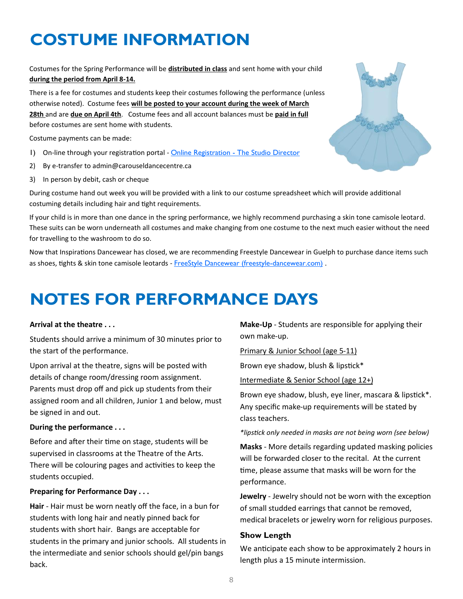### **COSTUME INFORMATION**

Costumes for the Spring Performance will be **distributed in class** and sent home with your child **during the period from April 8-14.**

There is a fee for costumes and students keep their costumes following the performance (unless otherwise noted). Costume fees **will be posted to your account during the week of March 28th** and are **due on April 4th**. Costume fees and all account balances must be **paid in full** before costumes are sent home with students.

Costume payments can be made:

- 1) On-line through your registration portal [Online Registration -](https://app.thestudiodirector.com/carousel/portal.sd?page=Login) The Studio Director
- 2) By e-transfer to admin@carouseldancecentre.ca
- 3) In person by debit, cash or cheque

During costume hand out week you will be provided with a link to our costume spreadsheet which will provide additional costuming details including hair and tight requirements.

If your child is in more than one dance in the spring performance, we highly recommend purchasing a skin tone camisole leotard. These suits can be worn underneath all costumes and make changing from one costume to the next much easier without the need for travelling to the washroom to do so.

Now that Inspirations Dancewear has closed, we are recommending Freestyle Dancewear in Guelph to purchase dance items such as shoes, tights & skin tone camisole leotards - [FreeStyle Dancewear \(freestyle-dancewear.com\)](https://www.freestyle-dancewear.com/).

### **NOTES FOR PERFORMANCE DAYS**

#### **Arrival at the theatre . . .**

Students should arrive a minimum of 30 minutes prior to the start of the performance.

Upon arrival at the theatre, signs will be posted with details of change room/dressing room assignment. Parents must drop off and pick up students from their assigned room and all children, Junior 1 and below, must be signed in and out.

#### **During the performance . . .**

Before and after their time on stage, students will be supervised in classrooms at the Theatre of the Arts. There will be colouring pages and activities to keep the students occupied.

#### **Preparing for Performance Day . . .**

**Hair** - Hair must be worn neatly off the face, in a bun for students with long hair and neatly pinned back for students with short hair. Bangs are acceptable for students in the primary and junior schools. All students in the intermediate and senior schools should gel/pin bangs back.

**Make-Up** - Students are responsible for applying their own make-up.

Primary & Junior School (age 5-11)

Brown eye shadow, blush & lipstick\*

Intermediate & Senior School (age 12+)

Brown eye shadow, blush, eye liner, mascara & lipstick\*. Any specific make-up requirements will be stated by class teachers.

*\*lipstick only needed in masks are not being worn (see below)*

**Masks** - More details regarding updated masking policies will be forwarded closer to the recital. At the current time, please assume that masks will be worn for the performance.

**Jewelry** - Jewelry should not be worn with the exception of small studded earrings that cannot be removed, medical bracelets or jewelry worn for religious purposes.

#### **Show Length**

We anticipate each show to be approximately 2 hours in length plus a 15 minute intermission.

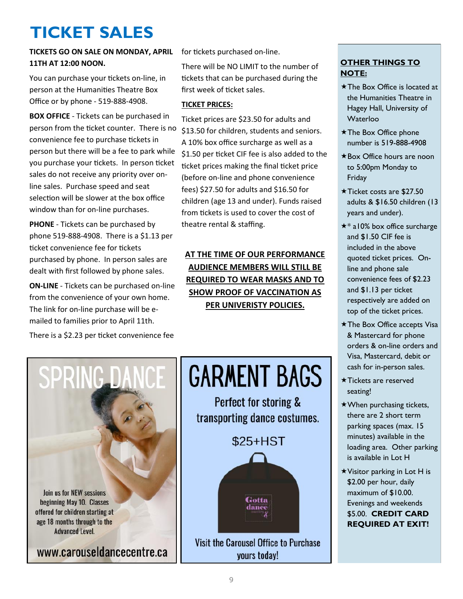### **TICKET SALES**

#### **TICKETS GO ON SALE ON MONDAY, APRIL**  for tickets purchased on-line. **11TH AT 12:00 NOON.**

You can purchase your tickets on-line, in person at the Humanities Theatre Box Office or by phone - 519-888-4908.

**BOX OFFICE** - Tickets can be purchased in person from the ticket counter. There is no convenience fee to purchase tickets in person but there will be a fee to park while you purchase your tickets. In person ticket sales do not receive any priority over online sales. Purchase speed and seat selection will be slower at the box office window than for on-line purchases.

**PHONE** - Tickets can be purchased by phone 519-888-4908. There is a \$1.13 per ticket convenience fee for tickets purchased by phone. In person sales are dealt with first followed by phone sales.

**ON-LINE** - Tickets can be purchased on-line from the convenience of your own home. The link for on-line purchase will be emailed to families prior to April 11th.

There is a \$2.23 per ticket convenience fee

There will be NO LIMIT to the number of tickets that can be purchased during the first week of ticket sales.

#### **TICKET PRICES:**

Ticket prices are \$23.50 for adults and \$13.50 for children, students and seniors. A 10% box office surcharge as well as a \$1.50 per ticket CIF fee is also added to the ticket prices making the final ticket price (before on-line and phone convenience fees) \$27.50 for adults and \$16.50 for children (age 13 and under). Funds raised from tickets is used to cover the cost of theatre rental & staffing.

**AT THE TIME OF OUR PERFORMANCE AUDIENCE MEMBERS WILL STILL BE REQUIRED TO WEAR MASKS AND TO SHOW PROOF OF VACCINATION AS PER UNIVERISTY POLICIES.**



# **GARMENT BAGS**

Perfect for storing & transporting dance costumes.

\$25+HST



Visit the Carousel Office to Purchase yours today!

#### **OTHER THINGS TO NOTE:**

- \* The Box Office is located at the Humanities Theatre in Hagey Hall, University of Waterloo
- \* The Box Office phone number is 519-888-4908
- \*Box Office hours are noon to 5:00pm Monday to Friday
- $\star$  Ticket costs are \$27.50 adults & \$16.50 children (13 years and under).
- $\star$  all 0% box office surcharge and \$1.50 CIF fee is included in the above quoted ticket prices. Online and phone sale convenience fees of \$2.23 and \$1.13 per ticket respectively are added on top of the ticket prices.
- The Box Office accepts Visa & Mastercard for phone orders & on-line orders and Visa, Mastercard, debit or cash for in-person sales.
- $\star$ Tickets are reserved seating!
- $\star$  When purchasing tickets, there are 2 short term parking spaces (max. 15 minutes) available in the loading area. Other parking is available in Lot H
- Visitor parking in Lot H is \$2.00 per hour, daily maximum of \$10.00. Evenings and weekends \$5.00. **CREDIT CARD REQUIRED AT EXIT!**